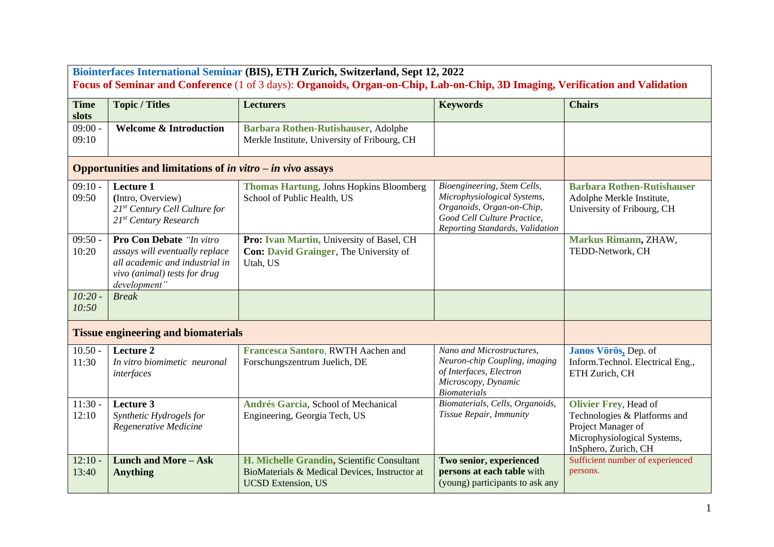| Biointerfaces International Seminar (BIS), ETH Zurich, Switzerland, Sept 12, 2022<br>Focus of Seminar and Conference (1 of 3 days): Organoids, Organ-on-Chip, Lab-on-Chip, 3D Imaging, Verification and Validation |                                                                                                                                              |                                                                                                                          |                                                                                                                                                           |                                                                                                                                           |  |  |  |
|--------------------------------------------------------------------------------------------------------------------------------------------------------------------------------------------------------------------|----------------------------------------------------------------------------------------------------------------------------------------------|--------------------------------------------------------------------------------------------------------------------------|-----------------------------------------------------------------------------------------------------------------------------------------------------------|-------------------------------------------------------------------------------------------------------------------------------------------|--|--|--|
| <b>Time</b><br>slots                                                                                                                                                                                               | <b>Topic / Titles</b>                                                                                                                        | <b>Lecturers</b>                                                                                                         | <b>Keywords</b>                                                                                                                                           | <b>Chairs</b>                                                                                                                             |  |  |  |
| 09:00<br>09:10                                                                                                                                                                                                     | <b>Welcome &amp; Introduction</b>                                                                                                            | Barbara Rothen-Rutishauser, Adolphe<br>Merkle Institute, University of Fribourg, CH                                      |                                                                                                                                                           |                                                                                                                                           |  |  |  |
|                                                                                                                                                                                                                    | Opportunities and limitations of in vitro $-i$ n vivo assays                                                                                 |                                                                                                                          |                                                                                                                                                           |                                                                                                                                           |  |  |  |
| $09:10 -$<br>09:50                                                                                                                                                                                                 | <b>Lecture 1</b><br>(Intro, Overview)<br>$21^{st}$ Century Cell Culture for<br>21 <sup>st</sup> Century Research                             | <b>Thomas Hartung, Johns Hopkins Bloomberg</b><br>School of Public Health, US                                            | Bioengineering, Stem Cells,<br>Microphysiological Systems,<br>Organoids, Organ-on-Chip,<br>Good Cell Culture Practice,<br>Reporting Standards, Validation | <b>Barbara Rothen-Rutishauser</b><br>Adolphe Merkle Institute,<br>University of Fribourg, CH                                              |  |  |  |
| $09:50 -$<br>10:20                                                                                                                                                                                                 | Pro Con Debate "In vitro<br>assays will eventually replace<br>all academic and industrial in<br>vivo (animal) tests for drug<br>development" | Pro: Ivan Martin, University of Basel, CH<br><b>Con: David Grainger</b> , The University of<br>Utah, US                  |                                                                                                                                                           | Markus Rimann, ZHAW,<br>TEDD-Network, CH                                                                                                  |  |  |  |
| 10:20.<br>10:50                                                                                                                                                                                                    | <b>Break</b>                                                                                                                                 |                                                                                                                          |                                                                                                                                                           |                                                                                                                                           |  |  |  |
| <b>Tissue engineering and biomaterials</b>                                                                                                                                                                         |                                                                                                                                              |                                                                                                                          |                                                                                                                                                           |                                                                                                                                           |  |  |  |
| $10.50 -$<br>11:30                                                                                                                                                                                                 | Lecture 2<br>In vitro biomimetic neuronal<br>interfaces                                                                                      | Francesca Santoro, RWTH Aachen and<br>Forschungszentrum Juelich, DE                                                      | Nano and Microstructures,<br>Neuron-chip Coupling, imaging<br>of Interfaces, Electron<br>Microscopy, Dynamic<br><b>Biomaterials</b>                       | Janos Vörös, Dep. of<br>Inform.Technol. Electrical Eng.,<br>ETH Zurich, CH                                                                |  |  |  |
| $11:30 -$<br>12:10                                                                                                                                                                                                 | Lecture 3<br>Synthetic Hydrogels for<br>Regenerative Medicine                                                                                | Andrés Garcia, School of Mechanical<br>Engineering, Georgia Tech, US                                                     | Biomaterials, Cells, Organoids,<br>Tissue Repair, Immunity                                                                                                | <b>Olivier Frey, Head of</b><br>Technologies & Platforms and<br>Project Manager of<br>Microphysiological Systems,<br>InSphero, Zurich, CH |  |  |  |
| $12:10 -$<br>13:40                                                                                                                                                                                                 | <b>Lunch and More - Ask</b><br><b>Anything</b>                                                                                               | H. Michelle Grandin, Scientific Consultant<br>BioMaterials & Medical Devices, Instructor at<br><b>UCSD Extension, US</b> | Two senior, experienced<br>persons at each table with<br>(young) participants to ask any                                                                  | Sufficient number of experienced<br>persons.                                                                                              |  |  |  |